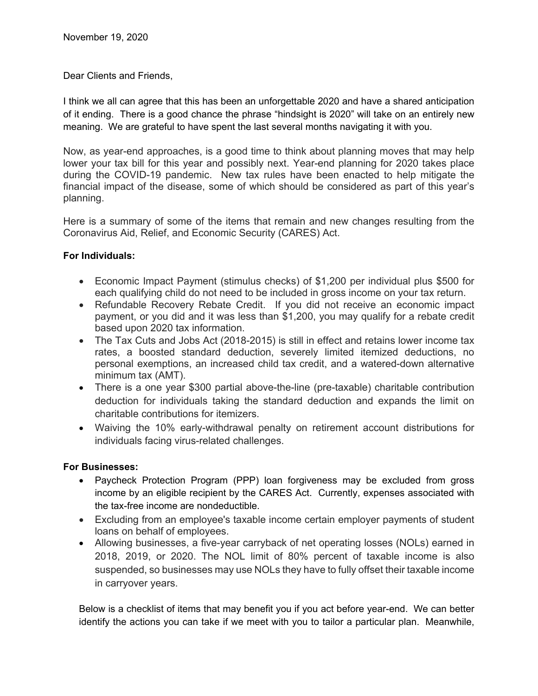Dear Clients and Friends,

I think we all can agree that this has been an unforgettable 2020 and have a shared anticipation of it ending. There is a good chance the phrase "hindsight is 2020" will take on an entirely new meaning. We are grateful to have spent the last several months navigating it with you.

Now, as year-end approaches, is a good time to think about planning moves that may help lower your tax bill for this year and possibly next. Year-end planning for 2020 takes place during the COVID-19 pandemic. New tax rules have been enacted to help mitigate the financial impact of the disease, some of which should be considered as part of this year's planning.

Here is a summary of some of the items that remain and new changes resulting from the Coronavirus Aid, Relief, and Economic Security (CARES) Act.

# **For Individuals:**

- Economic Impact Payment (stimulus checks) of \$1,200 per individual plus \$500 for each qualifying child do not need to be included in gross income on your tax return.
- Refundable Recovery Rebate Credit. If you did not receive an economic impact payment, or you did and it was less than \$1,200, you may qualify for a rebate credit based upon 2020 tax information.
- The Tax Cuts and Jobs Act (2018-2015) is still in effect and retains lower income tax rates, a boosted standard deduction, severely limited itemized deductions, no personal exemptions, an increased child tax credit, and a watered-down alternative minimum tax (AMT).
- There is a one year \$300 partial above-the-line (pre-taxable) charitable contribution deduction for individuals taking the standard deduction and expands the limit on charitable contributions for itemizers.
- Waiving the 10% early-withdrawal penalty on retirement account distributions for individuals facing virus-related challenges.

# **For Businesses:**

- Paycheck Protection Program (PPP) loan forgiveness may be excluded from gross income by an eligible recipient by the CARES Act. Currently, expenses associated with the tax-free income are nondeductible.
- Excluding from an employee's taxable income certain employer payments of student loans on behalf of employees.
- Allowing businesses, a five-year carryback of net operating losses (NOLs) earned in 2018, 2019, or 2020. The NOL limit of 80% percent of taxable income is also suspended, so businesses may use NOLs they have to fully offset their taxable income in carryover years.

Below is a checklist of items that may benefit you if you act before year-end. We can better identify the actions you can take if we meet with you to tailor a particular plan. Meanwhile,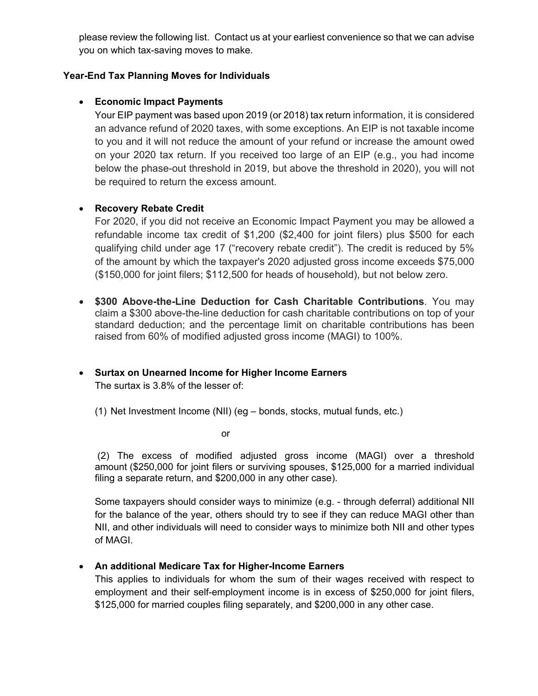please review the following list. Contact us at your earliest convenience so that we can advise you on which tax-saving moves to make.

### **Year-End Tax Planning Moves for Individuals**

### **Economic Impact Payments**

Your EIP payment was based upon 2019 (or 2018) tax return information, it is considered an advance refund of 2020 taxes, with some exceptions. An EIP is not taxable income to you and it will not reduce the amount of your refund or increase the amount owed on your 2020 tax return. If you received too large of an EIP (e.g., you had income below the phase-out threshold in 2019, but above the threshold in 2020), you will not be required to return the excess amount.

### **Recovery Rebate Credit**

For 2020, if you did not receive an Economic Impact Payment you may be allowed a refundable income tax credit of \$1,200 (\$2,400 for joint filers) plus \$500 for each qualifying child under age 17 ("recovery rebate credit"). The credit is reduced by 5% of the amount by which the taxpayer's 2020 adjusted gross income exceeds \$75,000 (\$150,000 for joint filers; \$112,500 for heads of household), but not below zero.

 **\$300 Above-the-Line Deduction for Cash Charitable Contributions**. You may claim a \$300 above-the-line deduction for cash charitable contributions on top of your standard deduction; and the percentage limit on charitable contributions has been raised from 60% of modified adjusted gross income (MAGI) to 100%.

#### **Surtax on Unearned Income for Higher Income Earners**  The surtax is 3.8% of the lesser of:

(1) Net Investment Income (NII) (eg – bonds, stocks, mutual funds, etc.)

or

(2) The excess of modified adjusted gross income (MAGI) over a threshold amount (\$250,000 for joint filers or surviving spouses, \$125,000 for a married individual filing a separate return, and \$200,000 in any other case).

Some taxpayers should consider ways to minimize (e.g. - through deferral) additional NII for the balance of the year, others should try to see if they can reduce MAGI other than NII, and other individuals will need to consider ways to minimize both NII and other types of MAGI.

# **An additional Medicare Tax for Higher-Income Earners**

This applies to individuals for whom the sum of their wages received with respect to employment and their self-employment income is in excess of \$250,000 for joint filers, \$125,000 for married couples filing separately, and \$200,000 in any other case.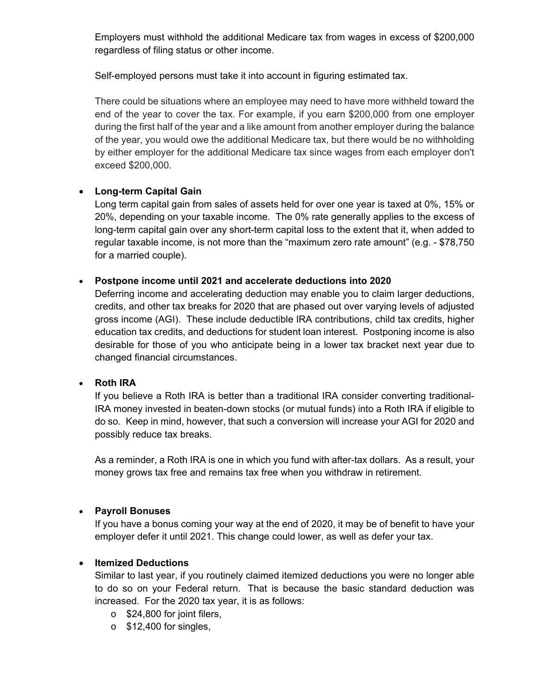Employers must withhold the additional Medicare tax from wages in excess of \$200,000 regardless of filing status or other income.

Self-employed persons must take it into account in figuring estimated tax.

There could be situations where an employee may need to have more withheld toward the end of the year to cover the tax. For example, if you earn \$200,000 from one employer during the first half of the year and a like amount from another employer during the balance of the year, you would owe the additional Medicare tax, but there would be no withholding by either employer for the additional Medicare tax since wages from each employer don't exceed \$200,000.

### **Long-term Capital Gain**

Long term capital gain from sales of assets held for over one year is taxed at 0%, 15% or 20%, depending on your taxable income. The 0% rate generally applies to the excess of long-term capital gain over any short-term capital loss to the extent that it, when added to regular taxable income, is not more than the "maximum zero rate amount" (e.g. - \$78,750 for a married couple).

### **Postpone income until 2021 and accelerate deductions into 2020**

Deferring income and accelerating deduction may enable you to claim larger deductions, credits, and other tax breaks for 2020 that are phased out over varying levels of adjusted gross income (AGI). These include deductible IRA contributions, child tax credits, higher education tax credits, and deductions for student loan interest. Postponing income is also desirable for those of you who anticipate being in a lower tax bracket next year due to changed financial circumstances.

#### **Roth IRA**

If you believe a Roth IRA is better than a traditional IRA consider converting traditional-IRA money invested in beaten-down stocks (or mutual funds) into a Roth IRA if eligible to do so. Keep in mind, however, that such a conversion will increase your AGI for 2020 and possibly reduce tax breaks.

As a reminder, a Roth IRA is one in which you fund with after-tax dollars. As a result, your money grows tax free and remains tax free when you withdraw in retirement.

#### **Payroll Bonuses**

If you have a bonus coming your way at the end of 2020, it may be of benefit to have your employer defer it until 2021. This change could lower, as well as defer your tax.

#### **Itemized Deductions**

Similar to last year, if you routinely claimed itemized deductions you were no longer able to do so on your Federal return. That is because the basic standard deduction was increased. For the 2020 tax year, it is as follows:

- o \$24,800 for joint filers,
- $\circ$  \$12,400 for singles,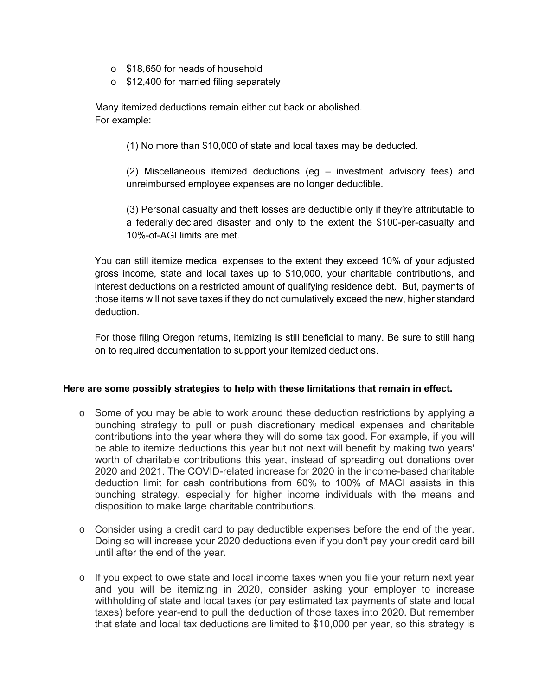- o \$18,650 for heads of household
- o \$12,400 for married filing separately

Many itemized deductions remain either cut back or abolished. For example:

(1) No more than \$10,000 of state and local taxes may be deducted.

(2) Miscellaneous itemized deductions (eg – investment advisory fees) and unreimbursed employee expenses are no longer deductible.

(3) Personal casualty and theft losses are deductible only if they're attributable to a federally declared disaster and only to the extent the \$100-per-casualty and 10%-of-AGI limits are met.

You can still itemize medical expenses to the extent they exceed 10% of your adjusted gross income, state and local taxes up to \$10,000, your charitable contributions, and interest deductions on a restricted amount of qualifying residence debt. But, payments of those items will not save taxes if they do not cumulatively exceed the new, higher standard deduction.

For those filing Oregon returns, itemizing is still beneficial to many. Be sure to still hang on to required documentation to support your itemized deductions.

#### **Here are some possibly strategies to help with these limitations that remain in effect.**

- $\circ$  Some of you may be able to work around these deduction restrictions by applying a bunching strategy to pull or push discretionary medical expenses and charitable contributions into the year where they will do some tax good. For example, if you will be able to itemize deductions this year but not next will benefit by making two years' worth of charitable contributions this year, instead of spreading out donations over 2020 and 2021. The COVID-related increase for 2020 in the income-based charitable deduction limit for cash contributions from 60% to 100% of MAGI assists in this bunching strategy, especially for higher income individuals with the means and disposition to make large charitable contributions.
- $\circ$  Consider using a credit card to pay deductible expenses before the end of the year. Doing so will increase your 2020 deductions even if you don't pay your credit card bill until after the end of the year.
- o If you expect to owe state and local income taxes when you file your return next year and you will be itemizing in 2020, consider asking your employer to increase withholding of state and local taxes (or pay estimated tax payments of state and local taxes) before year-end to pull the deduction of those taxes into 2020. But remember that state and local tax deductions are limited to \$10,000 per year, so this strategy is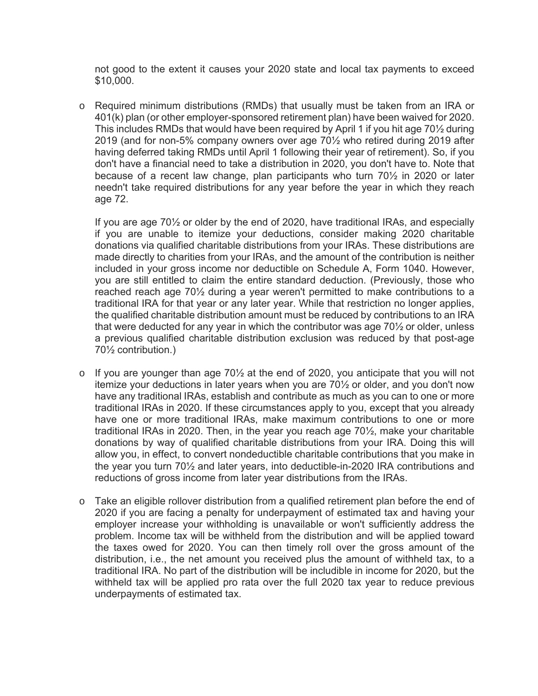not good to the extent it causes your 2020 state and local tax payments to exceed \$10,000.

o Required minimum distributions (RMDs) that usually must be taken from an IRA or 401(k) plan (or other employer-sponsored retirement plan) have been waived for 2020. This includes RMDs that would have been required by April 1 if you hit age 70½ during 2019 (and for non-5% company owners over age 70½ who retired during 2019 after having deferred taking RMDs until April 1 following their year of retirement). So, if you don't have a financial need to take a distribution in 2020, you don't have to. Note that because of a recent law change, plan participants who turn 70½ in 2020 or later needn't take required distributions for any year before the year in which they reach age 72.

If you are age 70½ or older by the end of 2020, have traditional IRAs, and especially if you are unable to itemize your deductions, consider making 2020 charitable donations via qualified charitable distributions from your IRAs. These distributions are made directly to charities from your IRAs, and the amount of the contribution is neither included in your gross income nor deductible on Schedule A, Form 1040. However, you are still entitled to claim the entire standard deduction. (Previously, those who reached reach age 70½ during a year weren't permitted to make contributions to a traditional IRA for that year or any later year. While that restriction no longer applies, the qualified charitable distribution amount must be reduced by contributions to an IRA that were deducted for any year in which the contributor was age 70½ or older, unless a previous qualified charitable distribution exclusion was reduced by that post-age 70½ contribution.)

- $\circ$  If you are younger than age 70 $\frac{1}{2}$  at the end of 2020, you anticipate that you will not itemize your deductions in later years when you are 70½ or older, and you don't now have any traditional IRAs, establish and contribute as much as you can to one or more traditional IRAs in 2020. If these circumstances apply to you, except that you already have one or more traditional IRAs, make maximum contributions to one or more traditional IRAs in 2020. Then, in the year you reach age 70½, make your charitable donations by way of qualified charitable distributions from your IRA. Doing this will allow you, in effect, to convert nondeductible charitable contributions that you make in the year you turn 70½ and later years, into deductible-in-2020 IRA contributions and reductions of gross income from later year distributions from the IRAs.
- o Take an eligible rollover distribution from a qualified retirement plan before the end of 2020 if you are facing a penalty for underpayment of estimated tax and having your employer increase your withholding is unavailable or won't sufficiently address the problem. Income tax will be withheld from the distribution and will be applied toward the taxes owed for 2020. You can then timely roll over the gross amount of the distribution, i.e., the net amount you received plus the amount of withheld tax, to a traditional IRA. No part of the distribution will be includible in income for 2020, but the withheld tax will be applied pro rata over the full 2020 tax year to reduce previous underpayments of estimated tax.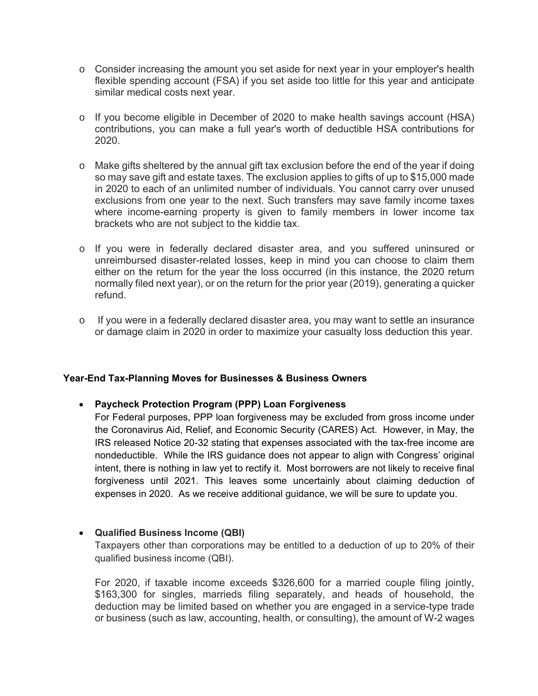- $\circ$  Consider increasing the amount you set aside for next year in your employer's health flexible spending account (FSA) if you set aside too little for this year and anticipate similar medical costs next year.
- $\circ$  If you become eligible in December of 2020 to make health savings account (HSA) contributions, you can make a full year's worth of deductible HSA contributions for 2020.
- o Make gifts sheltered by the annual gift tax exclusion before the end of the year if doing so may save gift and estate taxes. The exclusion applies to gifts of up to \$15,000 made in 2020 to each of an unlimited number of individuals. You cannot carry over unused exclusions from one year to the next. Such transfers may save family income taxes where income-earning property is given to family members in lower income tax brackets who are not subject to the kiddie tax.
- o If you were in federally declared disaster area, and you suffered uninsured or unreimbursed disaster-related losses, keep in mind you can choose to claim them either on the return for the year the loss occurred (in this instance, the 2020 return normally filed next year), or on the return for the prior year (2019), generating a quicker refund.
- o If you were in a federally declared disaster area, you may want to settle an insurance or damage claim in 2020 in order to maximize your casualty loss deduction this year.

#### **Year-End Tax-Planning Moves for Businesses & Business Owners**

#### **Paycheck Protection Program (PPP) Loan Forgiveness**

For Federal purposes, PPP loan forgiveness may be excluded from gross income under the Coronavirus Aid, Relief, and Economic Security (CARES) Act. However, in May, the IRS released Notice 20-32 stating that expenses associated with the tax-free income are nondeductible. While the IRS guidance does not appear to align with Congress' original intent, there is nothing in law yet to rectify it. Most borrowers are not likely to receive final forgiveness until 2021. This leaves some uncertainly about claiming deduction of expenses in 2020. As we receive additional guidance, we will be sure to update you.

#### **Qualified Business Income (QBI)**

Taxpayers other than corporations may be entitled to a deduction of up to 20% of their qualified business income (QBI).

For 2020, if taxable income exceeds \$326,600 for a married couple filing jointly, \$163,300 for singles, marrieds filing separately, and heads of household, the deduction may be limited based on whether you are engaged in a service-type trade or business (such as law, accounting, health, or consulting), the amount of W-2 wages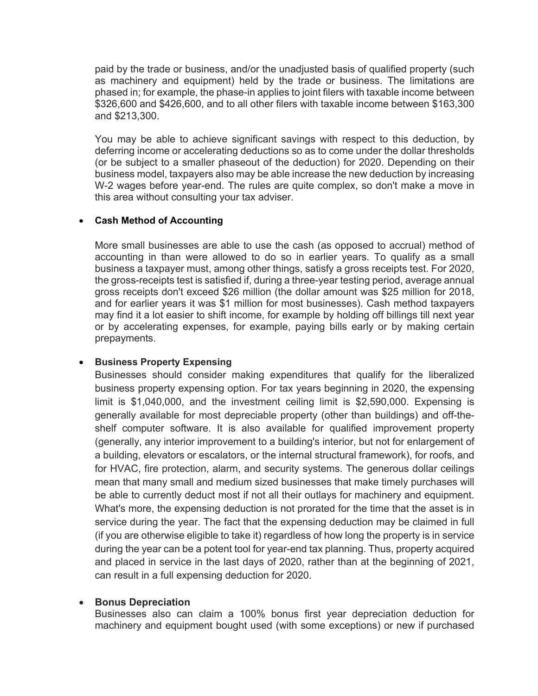paid by the trade or business, and/or the unadjusted basis of qualified property (such as machinery and equipment) held by the trade or business. The limitations are phased in; for example, the phase-in applies to joint filers with taxable income between \$326,600 and \$426,600, and to all other filers with taxable income between \$163,300 and \$213,300.

You may be able to achieve significant savings with respect to this deduction, by deferring income or accelerating deductions so as to come under the dollar thresholds (or be subject to a smaller phaseout of the deduction) for 2020. Depending on their business model, taxpayers also may be able increase the new deduction by increasing W-2 wages before year-end. The rules are quite complex, so don't make a move in this area without consulting your tax adviser.

#### **Cash Method of Accounting**

More small businesses are able to use the cash (as opposed to accrual) method of accounting in than were allowed to do so in earlier years. To qualify as a small business a taxpayer must, among other things, satisfy a gross receipts test. For 2020, the gross-receipts test is satisfied if, during a three-year testing period, average annual gross receipts don't exceed \$26 million (the dollar amount was \$25 million for 2018, and for earlier years it was \$1 million for most businesses). Cash method taxpayers may find it a lot easier to shift income, for example by holding off billings till next year or by accelerating expenses, for example, paying bills early or by making certain prepayments.

#### **• Business Property Expensing**

Businesses should consider making expenditures that qualify for the liberalized business property expensing option. For tax years beginning in 2020, the expensing limit is \$1,040,000, and the investment ceiling limit is \$2,590,000. Expensing is generally available for most depreciable property (other than buildings) and off-theshelf computer software. It is also available for qualified improvement property (generally, any interior improvement to a building's interior, but not for enlargement of a building, elevators or escalators, or the internal structural framework), for roofs, and for HVAC, fire protection, alarm, and security systems. The generous dollar ceilings mean that many small and medium sized businesses that make timely purchases will be able to currently deduct most if not all their outlays for machinery and equipment. What's more, the expensing deduction is not prorated for the time that the asset is in service during the year. The fact that the expensing deduction may be claimed in full (if you are otherwise eligible to take it) regardless of how long the property is in service during the year can be a potent tool for year-end tax planning. Thus, property acquired and placed in service in the last days of 2020, rather than at the beginning of 2021, can result in a full expensing deduction for 2020.

#### **•** Bonus Depreciation

Businesses also can claim a 100% bonus first year depreciation deduction for machinery and equipment bought used (with some exceptions) or new if purchased